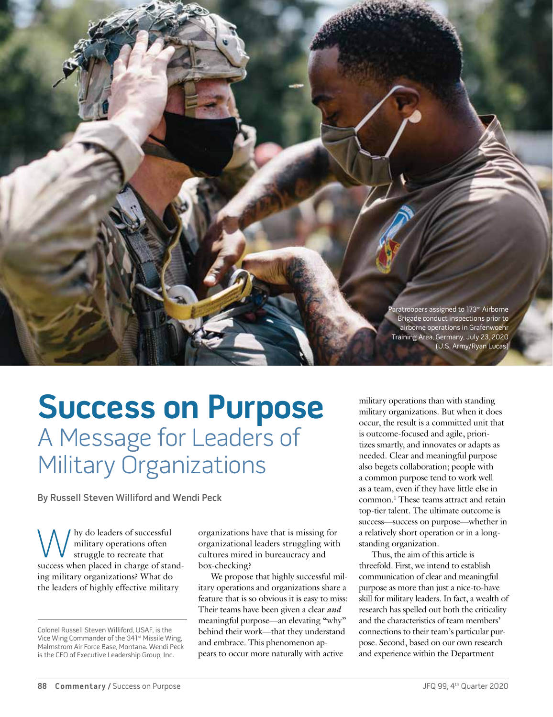<sup>9</sup>aratroopers assigned to 173<sup>rd</sup> Airborne Brigade conduct inspections prior to airborne operations in Grafenwoehr Training Area, Germany, July 23, 2020 (U.S. Army/Ryan Lucas)

# **Success on Purpose** A Message for Leaders of Military Organizations

By Russell Steven Williford and Wendi Peck

W hy do leaders of successful<br>
struggle to recreate that<br>
success when placed in charge of standmilitary operations often struggle to recreate that ing military organizations? What do the leaders of highly effective military

organizations have that is missing for organizational leaders struggling with cultures mired in bureaucracy and box-checking?

We propose that highly successful military operations and organizations share a feature that is so obvious it is easy to miss: Their teams have been given a clear *and* meaningful purpose—an elevating "why" behind their work—that they understand and embrace. This phenomenon appears to occur more naturally with active

military operations than with standing military organizations. But when it does occur, the result is a committed unit that is outcome-focused and agile, prioritizes smartly, and innovates or adapts as needed. Clear and meaningful purpose also begets collaboration; people with a common purpose tend to work well as a team, even if they have little else in common.1 These teams attract and retain top-tier talent. The ultimate outcome is success—success on purpose—whether in a relatively short operation or in a longstanding organization.

Thus, the aim of this article is threefold. First, we intend to establish communication of clear and meaningful purpose as more than just a nice-to-have skill for military leaders. In fact, a wealth of research has spelled out both the criticality and the characteristics of team members' connections to their team's particular purpose. Second, based on our own research and experience within the Department

Colonel Russell Steven Williford, USAF, is the Vice Wing Commander of the 341st Missile Wing, Malmstrom Air Force Base, Montana. Wendi Peck is the CEO of Executive Leadership Group, Inc.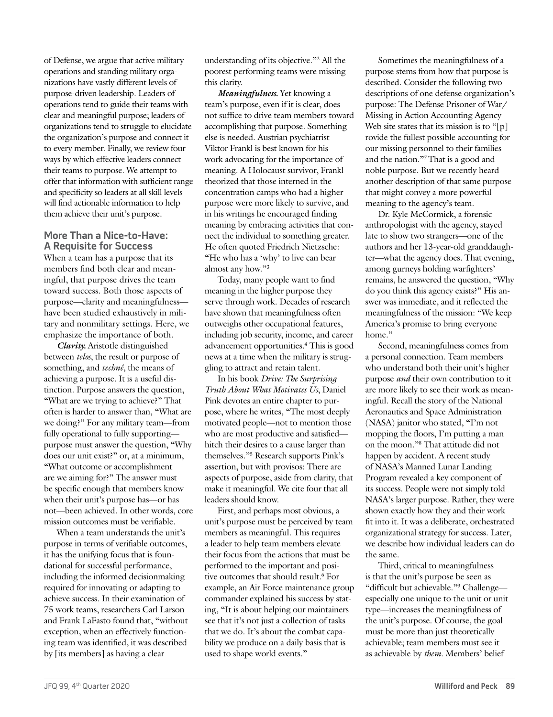of Defense, we argue that active military operations and standing military organizations have vastly different levels of purpose-driven leadership. Leaders of operations tend to guide their teams with clear and meaningful purpose; leaders of organizations tend to struggle to elucidate the organization's purpose and connect it to every member. Finally, we review four ways by which effective leaders connect their teams to purpose. We attempt to offer that information with sufficient range and specificity so leaders at all skill levels will find actionable information to help them achieve their unit's purpose.

## **More Than a Nice-to-Have: A Requisite for Success**

When a team has a purpose that its members find both clear and meaningful, that purpose drives the team toward success. Both those aspects of purpose—clarity and meaningfulness have been studied exhaustively in military and nonmilitary settings. Here, we emphasize the importance of both.

*Clarity.* Aristotle distinguished between *telos*, the result or purpose of something, and *technê*, the means of achieving a purpose. It is a useful distinction. Purpose answers the question, "What are we trying to achieve?" That often is harder to answer than, "What are we doing?" For any military team—from fully operational to fully supporting purpose must answer the question, "Why does our unit exist?" or, at a minimum, "What outcome or accomplishment are we aiming for?" The answer must be specific enough that members know when their unit's purpose has—or has not—been achieved. In other words, core mission outcomes must be verifiable.

When a team understands the unit's purpose in terms of verifiable outcomes, it has the unifying focus that is foundational for successful performance, including the informed decisionmaking required for innovating or adapting to achieve success. In their examination of 75 work teams, researchers Carl Larson and Frank LaFasto found that, "without exception, when an effectively functioning team was identified, it was described by [its members] as having a clear

understanding of its objective."2 All the poorest performing teams were missing this clarity.

*Meaningfulness.* Yet knowing a team's purpose, even if it is clear, does not suffice to drive team members toward accomplishing that purpose. Something else is needed. Austrian psychiatrist Viktor Frankl is best known for his work advocating for the importance of meaning. A Holocaust survivor, Frankl theorized that those interned in the concentration camps who had a higher purpose were more likely to survive, and in his writings he encouraged finding meaning by embracing activities that connect the individual to something greater. He often quoted Friedrich Nietzsche: "He who has a 'why' to live can bear almost any how."3

Today, many people want to find meaning in the higher purpose they serve through work. Decades of research have shown that meaningfulness often outweighs other occupational features, including job security, income, and career advancement opportunities.4 This is good news at a time when the military is struggling to attract and retain talent.

In his book *Drive: The Surprising Truth About What Motivates Us*, Daniel Pink devotes an entire chapter to purpose, where he writes, "The most deeply motivated people—not to mention those who are most productive and satisfied hitch their desires to a cause larger than themselves."5 Research supports Pink's assertion, but with provisos: There are aspects of purpose, aside from clarity, that make it meaningful. We cite four that all leaders should know.

First, and perhaps most obvious, a unit's purpose must be perceived by team members as meaningful. This requires a leader to help team members elevate their focus from the actions that must be performed to the important and positive outcomes that should result.<sup>6</sup> For example, an Air Force maintenance group commander explained his success by stating, "It is about helping our maintainers see that it's not just a collection of tasks that we do. It's about the combat capability we produce on a daily basis that is used to shape world events."

Sometimes the meaningfulness of a purpose stems from how that purpose is described. Consider the following two descriptions of one defense organization's purpose: The Defense Prisoner of War/ Missing in Action Accounting Agency Web site states that its mission is to "[p] rovide the fullest possible accounting for our missing personnel to their families and the nation."7 That is a good and noble purpose. But we recently heard another description of that same purpose that might convey a more powerful meaning to the agency's team.

Dr. Kyle McCormick, a forensic anthropologist with the agency, stayed late to show two strangers—one of the authors and her 13-year-old granddaughter—what the agency does. That evening, among gurneys holding warfighters' remains, he answered the question, "Why do you think this agency exists?" His answer was immediate, and it reflected the meaningfulness of the mission: "We keep America's promise to bring everyone home."

Second, meaningfulness comes from a personal connection. Team members who understand both their unit's higher purpose *and* their own contribution to it are more likely to see their work as meaningful. Recall the story of the National Aeronautics and Space Administration (NASA) janitor who stated, "I'm not mopping the floors, I'm putting a man on the moon."8 That attitude did not happen by accident. A recent study of NASA's Manned Lunar Landing Program revealed a key component of its success. People were not simply told NASA's larger purpose. Rather, they were shown exactly how they and their work fit into it. It was a deliberate, orchestrated organizational strategy for success. Later, we describe how individual leaders can do the same.

Third, critical to meaningfulness is that the unit's purpose be seen as "difficult but achievable."9 Challenge especially one unique to the unit or unit type—increases the meaningfulness of the unit's purpose. Of course, the goal must be more than just theoretically achievable; team members must see it as achievable by *them*. Members' belief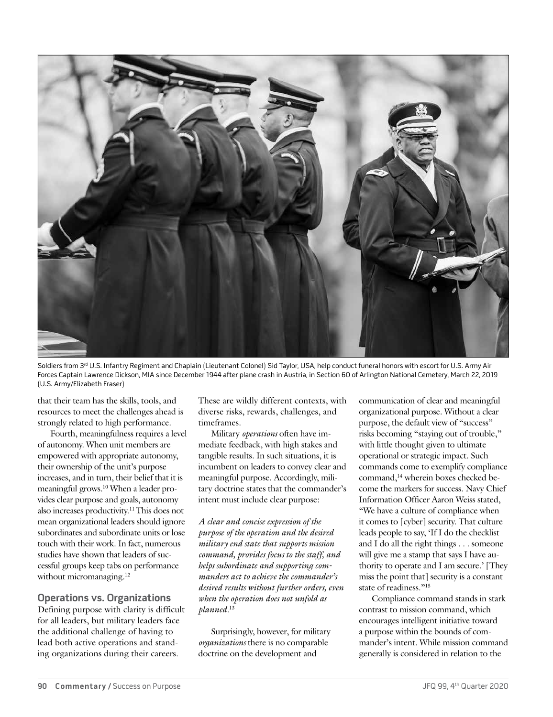

Soldiers from 3<sup>rd</sup> U.S. Infantry Regiment and Chaplain (Lieutenant Colonel) Sid Taylor, USA, help conduct funeral honors with escort for U.S. Army Air Forces Captain Lawrence Dickson, MIA since December 1944 after plane crash in Austria, in Section 60 of Arlington National Cemetery, March 22, 2019 (U.S. Army/Elizabeth Fraser)

that their team has the skills, tools, and resources to meet the challenges ahead is strongly related to high performance.

Fourth, meaningfulness requires a level of autonomy. When unit members are empowered with appropriate autonomy, their ownership of the unit's purpose increases, and in turn, their belief that it is meaningful grows.10 When a leader provides clear purpose and goals, autonomy also increases productivity.11 This does not mean organizational leaders should ignore subordinates and subordinate units or lose touch with their work. In fact, numerous studies have shown that leaders of successful groups keep tabs on performance without micromanaging.<sup>12</sup>

**Operations vs. Organizations** Defining purpose with clarity is difficult for all leaders, but military leaders face the additional challenge of having to lead both active operations and standing organizations during their careers.

These are wildly different contexts, with diverse risks, rewards, challenges, and timeframes.

Military *operations* often have immediate feedback, with high stakes and tangible results. In such situations, it is incumbent on leaders to convey clear and meaningful purpose. Accordingly, military doctrine states that the commander's intent must include clear purpose:

*A clear and concise expression of the purpose of the operation and the desired military end state that supports mission command, provides focus to the staff, and helps subordinate and supporting commanders act to achieve the commander's desired results without further orders, even when the operation does not unfold as planned.*<sup>13</sup>

Surprisingly, however, for military *organizations* there is no comparable doctrine on the development and

communication of clear and meaningful organizational purpose. Without a clear purpose, the default view of "success" risks becoming "staying out of trouble," with little thought given to ultimate operational or strategic impact. Such commands come to exemplify compliance command,<sup>14</sup> wherein boxes checked become the markers for success. Navy Chief Information Officer Aaron Weiss stated, "We have a culture of compliance when it comes to [cyber] security. That culture leads people to say, 'If I do the checklist and I do all the right things . . . someone will give me a stamp that says I have authority to operate and I am secure.' [They miss the point that] security is a constant state of readiness."<sup>15</sup>

Compliance command stands in stark contrast to mission command, which encourages intelligent initiative toward a purpose within the bounds of commander's intent. While mission command generally is considered in relation to the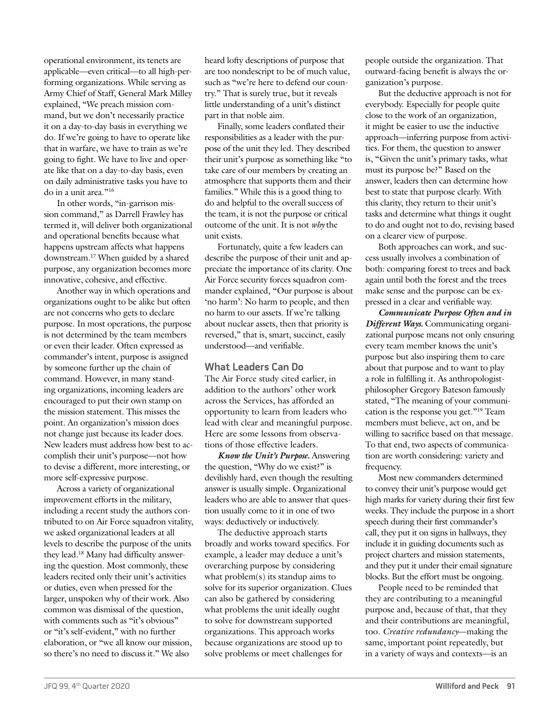operational environment, its tenets are applicable—even critical—to all high-performing organizations. While serving as Army Chief of Staff, General Mark Milley explained, "We preach mission command, but we don't necessarily practice it on a day-to-day basis in everything we do. If we're going to have to operate like that in warfare, we have to train as we're going to fight. We have to live and operate like that on a day-to-day basis, even on daily administrative tasks you have to do in a unit area."<sup>16</sup>

In other words, "in-garrison mission command," as Darrell Frawley has termed it, will deliver both organizational and operational benefits because what happens upstream affects what happens downstream.17 When guided by a shared purpose, any organization becomes more innovative, cohesive, and effective.

Another way in which operations and organizations ought to be alike but often are not concerns who gets to declare purpose. In most operations, the purpose is not determined by the team members or even their leader. Often expressed as commander's intent, purpose is assigned by someone further up the chain of command. However, in many standing organizations, incoming leaders are encouraged to put their own stamp on the mission statement. This misses the point. An organization's mission does not change just because its leader does. New leaders must address how best to accomplish their unit's purpose—not how to devise a different, more interesting, or more self-expressive purpose.

Across a variety of organizational improvement efforts in the military, including a recent study the authors contributed to on Air Force squadron vitality, we asked organizational leaders at all levels to describe the purpose of the units they lead.18 Many had difficulty answering the question. Most commonly, these leaders recited only their unit's activities or duties, even when pressed for the larger, unspoken why of their work. Also common was dismissal of the question, with comments such as "it's obvious" or "it's self-evident," with no further elaboration, or "we all know our mission, so there's no need to discuss it." We also

heard lofty descriptions of purpose that are too nondescript to be of much value, such as "we're here to defend our country." That is surely true, but it reveals little understanding of a unit's distinct part in that noble aim.

Finally, some leaders conflated their responsibilities as a leader with the purpose of the unit they led. They described their unit's purpose as something like "to take care of our members by creating an atmosphere that supports them and their families." While this is a good thing to do and helpful to the overall success of the team, it is not the purpose or critical outcome of the unit. It is not *why* the unit exists.

Fortunately, quite a few leaders can describe the purpose of their unit and appreciate the importance of its clarity. One Air Force security forces squadron commander explained, "Our purpose is about 'no harm': No harm to people, and then no harm to our assets. If we're talking about nuclear assets, then that priority is reversed," that is, smart, succinct, easily understood—and verifiable.

### **What Leaders Can Do**

The Air Force study cited earlier, in addition to the authors' other work across the Services, has afforded an opportunity to learn from leaders who lead with clear and meaningful purpose. Here are some lessons from observations of those effective leaders.

*Know the Unit's Purpose.* Answering the question, "Why do we exist?" is devilishly hard, even though the resulting answer is usually simple. Organizational leaders who are able to answer that question usually come to it in one of two ways: deductively or inductively.

The deductive approach starts broadly and works toward specifics. For example, a leader may deduce a unit's overarching purpose by considering what problem(s) its standup aims to solve for its superior organization. Clues can also be gathered by considering what problems the unit ideally ought to solve for downstream supported organizations. This approach works because organizations are stood up to solve problems or meet challenges for

people outside the organization. That outward-facing benefit is always the organization's purpose.

But the deductive approach is not for everybody. Especially for people quite close to the work of an organization, it might be easier to use the inductive approach—inferring purpose from activities. For them, the question to answer is, "Given the unit's primary tasks, what must its purpose be?" Based on the answer, leaders then can determine how best to state that purpose clearly. With this clarity, they return to their unit's tasks and determine what things it ought to do and ought not to do, revising based on a clearer view of purpose.

Both approaches can work, and success usually involves a combination of both: comparing forest to trees and back again until both the forest and the trees make sense and the purpose can be expressed in a clear and verifiable way.

*Communicate Purpose Often and in Different Ways.* Communicating organizational purpose means not only ensuring every team member knows the unit's purpose but also inspiring them to care about that purpose and to want to play a role in fulfilling it. As anthropologistphilosopher Gregory Bateson famously stated, "The meaning of your communication is the response you get."19 Team members must believe, act on, and be willing to sacrifice based on that message. To that end, two aspects of communication are worth considering: variety and frequency.

Most new commanders determined to convey their unit's purpose would get high marks for variety during their first few weeks. They include the purpose in a short speech during their first commander's call, they put it on signs in hallways, they include it in guiding documents such as project charters and mission statements, and they put it under their email signature blocks. But the effort must be ongoing.

People need to be reminded that they are contributing to a meaningful purpose and, because of that, that they and their contributions are meaningful, too. *Creative redundancy*—making the same, important point repeatedly, but in a variety of ways and contexts—is an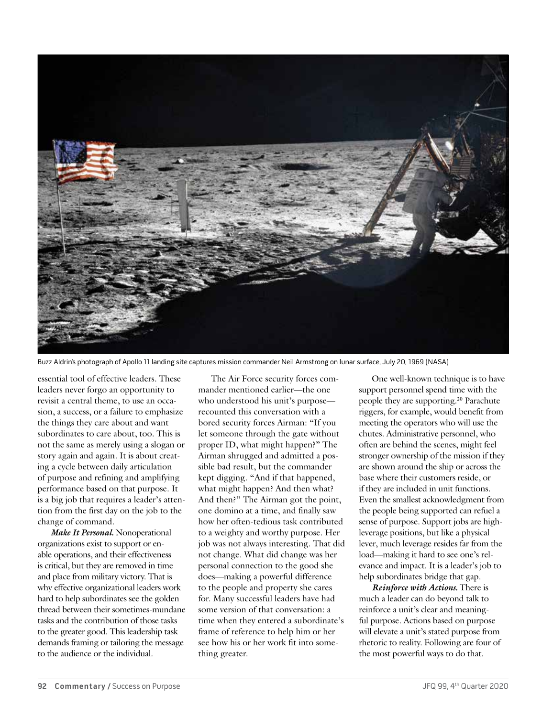

Buzz Aldrin's photograph of Apollo 11 landing site captures mission commander Neil Armstrong on lunar surface, July 20, 1969 (NASA)

essential tool of effective leaders. These leaders never forgo an opportunity to revisit a central theme, to use an occasion, a success, or a failure to emphasize the things they care about and want subordinates to care about, too. This is not the same as merely using a slogan or story again and again. It is about creating a cycle between daily articulation of purpose and refining and amplifying performance based on that purpose. It is a big job that requires a leader's attention from the first day on the job to the change of command.

*Make It Personal.* Nonoperational organizations exist to support or enable operations, and their effectiveness is critical, but they are removed in time and place from military victory. That is why effective organizational leaders work hard to help subordinates see the golden thread between their sometimes-mundane tasks and the contribution of those tasks to the greater good. This leadership task demands framing or tailoring the message to the audience or the individual.

The Air Force security forces commander mentioned earlier—the one who understood his unit's purpose recounted this conversation with a bored security forces Airman: "If you let someone through the gate without proper ID, what might happen?" The Airman shrugged and admitted a possible bad result, but the commander kept digging. "And if that happened, what might happen? And then what? And then?" The Airman got the point, one domino at a time, and finally saw how her often-tedious task contributed to a weighty and worthy purpose. Her job was not always interesting. That did not change. What did change was her personal connection to the good she does—making a powerful difference to the people and property she cares for. Many successful leaders have had some version of that conversation: a time when they entered a subordinate's frame of reference to help him or her see how his or her work fit into something greater.

One well-known technique is to have support personnel spend time with the people they are supporting.20 Parachute riggers, for example, would benefit from meeting the operators who will use the chutes. Administrative personnel, who often are behind the scenes, might feel stronger ownership of the mission if they are shown around the ship or across the base where their customers reside, or if they are included in unit functions. Even the smallest acknowledgment from the people being supported can refuel a sense of purpose. Support jobs are highleverage positions, but like a physical lever, much leverage resides far from the load—making it hard to see one's relevance and impact. It is a leader's job to help subordinates bridge that gap.

*Reinforce with Actions.* There is much a leader can do beyond talk to reinforce a unit's clear and meaningful purpose. Actions based on purpose will elevate a unit's stated purpose from rhetoric to reality. Following are four of the most powerful ways to do that.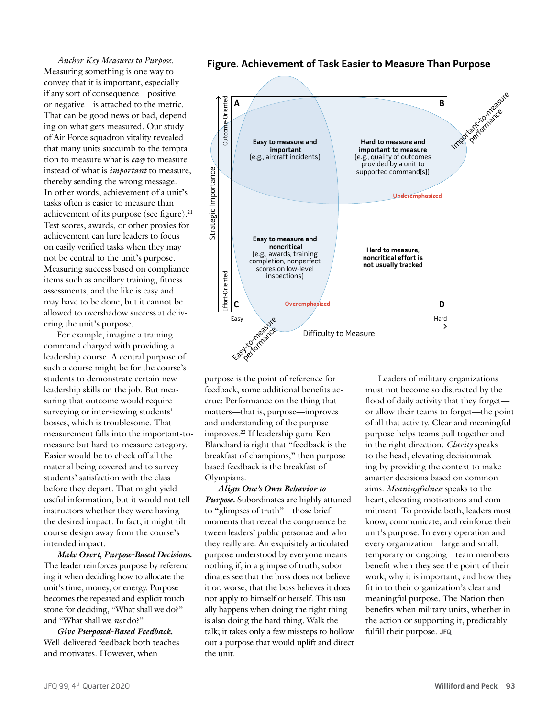*Anchor Key Measures to Purpose.* Measuring something is one way to convey that it is important, especially if any sort of consequence—positive or negative—is attached to the metric. That can be good news or bad, depending on what gets measured. Our study of Air Force squadron vitality revealed that many units succumb to the temptation to measure what is *easy* to measure instead of what is *important* to measure, thereby sending the wrong message. In other words, achievement of a unit's tasks often is easier to measure than achievement of its purpose (see figure).<sup>21</sup> Test scores, awards, or other proxies for achievement can lure leaders to focus on easily verified tasks when they may not be central to the unit's purpose. Measuring success based on compliance items such as ancillary training, fitness assessments, and the like is easy and may have to be done, but it cannot be allowed to overshadow success at delivering the unit's purpose.

For example, imagine a training command charged with providing a leadership course. A central purpose of such a course might be for the course's students to demonstrate certain new leadership skills on the job. But measuring that outcome would require surveying or interviewing students' bosses, which is troublesome. That measurement falls into the important-tomeasure but hard-to-measure category. Easier would be to check off all the material being covered and to survey students' satisfaction with the class before they depart. That might yield useful information, but it would not tell instructors whether they were having the desired impact. In fact, it might tilt course design away from the course's intended impact.

*Make Overt, Purpose-Based Decisions.* The leader reinforces purpose by referencing it when deciding how to allocate the unit's time, money, or energy. Purpose becomes the repeated and explicit touchstone for deciding, "What shall we do?" and "What shall we *not* do?"

*Give Purposed-Based Feedback.* Well-delivered feedback both teaches and motivates. However, when

**Figure. Achievement of Task Easier to Measure Than Purpose**



purpose is the point of reference for feedback, some additional benefits accrue: Performance on the thing that matters—that is, purpose—improves and understanding of the purpose improves.22 If leadership guru Ken Blanchard is right that "feedback is the breakfast of champions," then purposebased feedback is the breakfast of Olympians.

*Align One's Own Behavior to Purpose.* Subordinates are highly attuned to "glimpses of truth"—those brief moments that reveal the congruence between leaders' public personae and who they really are. An exquisitely articulated purpose understood by everyone means nothing if, in a glimpse of truth, subordinates see that the boss does not believe it or, worse, that the boss believes it does not apply to himself or herself. This usually happens when doing the right thing is also doing the hard thing. Walk the talk; it takes only a few missteps to hollow out a purpose that would uplift and direct the unit.

Leaders of military organizations must not become so distracted by the flood of daily activity that they forget or allow their teams to forget—the point of all that activity. Clear and meaningful purpose helps teams pull together and in the right direction. *Clarity* speaks to the head, elevating decisionmaking by providing the context to make smarter decisions based on common aims. *Meaningfulness* speaks to the heart, elevating motivations and commitment. To provide both, leaders must know, communicate, and reinforce their unit's purpose. In every operation and every organization—large and small, temporary or ongoing—team members benefit when they see the point of their work, why it is important, and how they fit in to their organization's clear and meaningful purpose. The Nation then benefits when military units, whether in the action or supporting it, predictably fulfill their purpose. **JFQ**